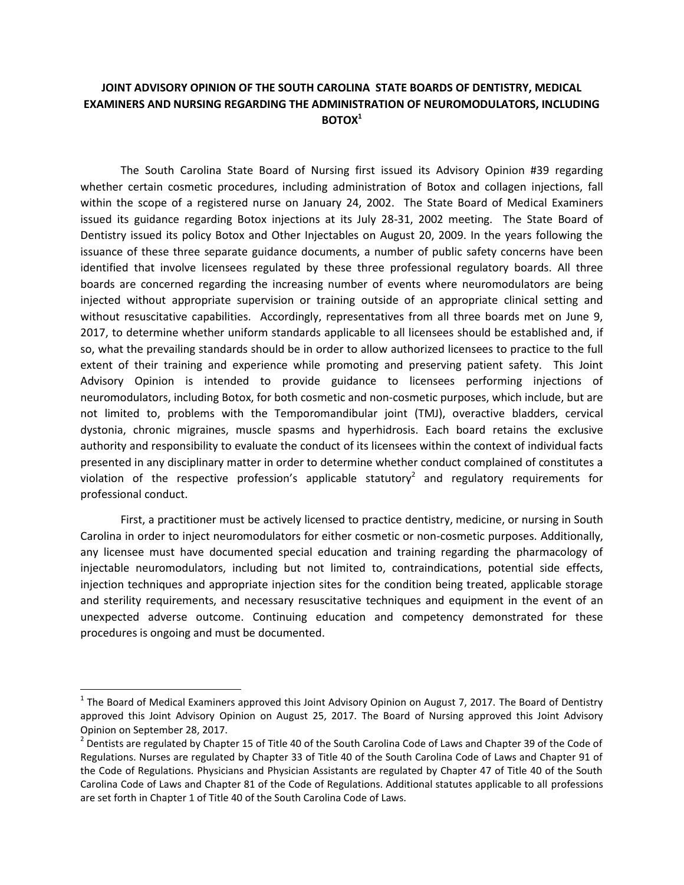## **JOINT ADVISORY OPINION OF THE SOUTH CAROLINA STATE BOARDS OF DENTISTRY, MEDICAL EXAMINERS AND NURSING REGARDING THE ADMINISTRATION OF NEUROMODULATORS, INCLUDING BOTOX<sup>1</sup>**

The South Carolina State Board of Nursing first issued its Advisory Opinion #39 regarding whether certain cosmetic procedures, including administration of Botox and collagen injections, fall within the scope of a registered nurse on January 24, 2002. The State Board of Medical Examiners issued its guidance regarding Botox injections at its July 28-31, 2002 meeting. The State Board of Dentistry issued its policy Botox and Other Injectables on August 20, 2009. In the years following the issuance of these three separate guidance documents, a number of public safety concerns have been identified that involve licensees regulated by these three professional regulatory boards. All three boards are concerned regarding the increasing number of events where neuromodulators are being injected without appropriate supervision or training outside of an appropriate clinical setting and without resuscitative capabilities. Accordingly, representatives from all three boards met on June 9, 2017, to determine whether uniform standards applicable to all licensees should be established and, if so, what the prevailing standards should be in order to allow authorized licensees to practice to the full extent of their training and experience while promoting and preserving patient safety. This Joint Advisory Opinion is intended to provide guidance to licensees performing injections of neuromodulators, including Botox, for both cosmetic and non-cosmetic purposes, which include, but are not limited to, problems with the Temporomandibular joint (TMJ), overactive bladders, cervical dystonia, chronic migraines, muscle spasms and hyperhidrosis. Each board retains the exclusive authority and responsibility to evaluate the conduct of its licensees within the context of individual facts presented in any disciplinary matter in order to determine whether conduct complained of constitutes a violation of the respective profession's applicable statutory<sup>2</sup> and regulatory requirements for professional conduct.

First, a practitioner must be actively licensed to practice dentistry, medicine, or nursing in South Carolina in order to inject neuromodulators for either cosmetic or non-cosmetic purposes. Additionally, any licensee must have documented special education and training regarding the pharmacology of injectable neuromodulators, including but not limited to, contraindications, potential side effects, injection techniques and appropriate injection sites for the condition being treated, applicable storage and sterility requirements, and necessary resuscitative techniques and equipment in the event of an unexpected adverse outcome. Continuing education and competency demonstrated for these procedures is ongoing and must be documented.

 $\overline{\phantom{a}}$ 

<sup>&</sup>lt;sup>1</sup> The Board of Medical Examiners approved this Joint Advisory Opinion on August 7, 2017. The Board of Dentistry approved this Joint Advisory Opinion on August 25, 2017. The Board of Nursing approved this Joint Advisory Opinion on September 28, 2017.

 $^2$  Dentists are regulated by Chapter 15 of Title 40 of the South Carolina Code of Laws and Chapter 39 of the Code of Regulations. Nurses are regulated by Chapter 33 of Title 40 of the South Carolina Code of Laws and Chapter 91 of the Code of Regulations. Physicians and Physician Assistants are regulated by Chapter 47 of Title 40 of the South Carolina Code of Laws and Chapter 81 of the Code of Regulations. Additional statutes applicable to all professions are set forth in Chapter 1 of Title 40 of the South Carolina Code of Laws.